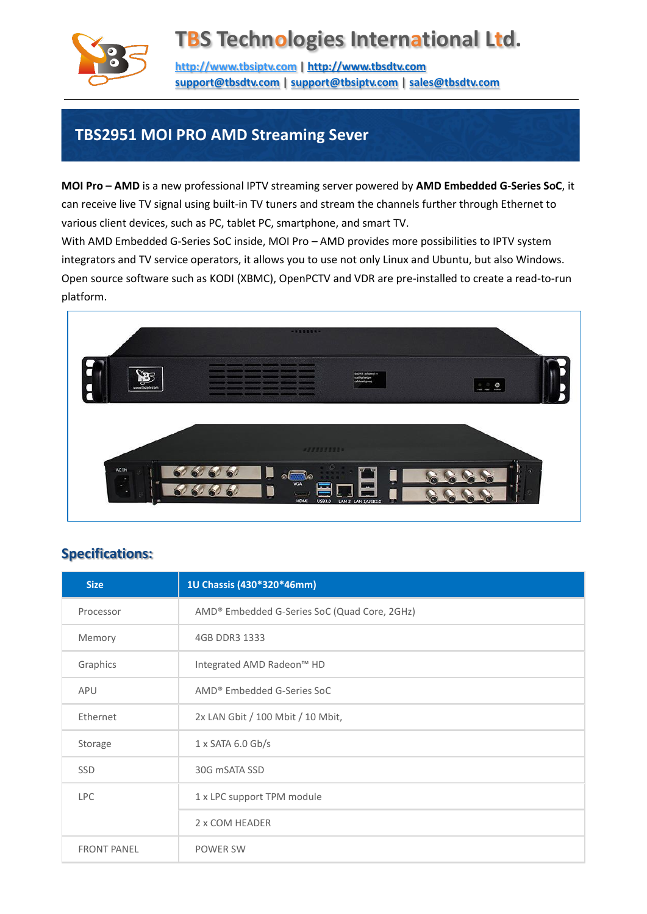

## **TBS Technologies International Ltd.**

**[http://www.tbsiptv.com](http://www.tbsiptv.com/) | [http://www.tbsdtv.com](http://www.tbsdtv.com/) [support@tbsdtv.com](mailto:support@tbsdtv.com) [| support@tbsiptv.com](mailto:support@tbsiptv.com) | [sales@tbsdtv.com](mailto:sales@tbsdtv.com)**

## **TBS2951 MOI PRO AMD Streaming Sever**

**MOI Pro – AMD** is a new professional IPTV streaming server powered by **AMD Embedded G-Series SoC**, it can receive live TV signal using built-in TV tuners and stream the channels further through Ethernet to various client devices, such as PC, tablet PC, smartphone, and smart TV.

With AMD Embedded G-Series SoC inside, MOI Pro – AMD provides more possibilities to IPTV system integrators and TV service operators, it allows you to use not only Linux and Ubuntu, but also Windows. Open source software such as KODI (XBMC), OpenPCTV and VDR are pre-installed to create a read-to-run platform.



#### **Specifications:**

| <b>Size</b>        | 1U Chassis (430*320*46mm)                    |
|--------------------|----------------------------------------------|
| Processor          | AMD® Embedded G-Series SoC (Quad Core, 2GHz) |
| Memory             | 4GB DDR3 1333                                |
| Graphics           | Integrated AMD Radeon™ HD                    |
| <b>APU</b>         | AMD® Embedded G-Series SoC                   |
| Ethernet           | 2x LAN Gbit / 100 Mbit / 10 Mbit,            |
| Storage            | $1 \times$ SATA 6.0 Gb/s                     |
| <b>SSD</b>         | 30G mSATA SSD                                |
| <b>LPC</b>         | 1 x LPC support TPM module                   |
|                    | 2 x COM HEADER                               |
| <b>FRONT PANEL</b> | <b>POWER SW</b>                              |